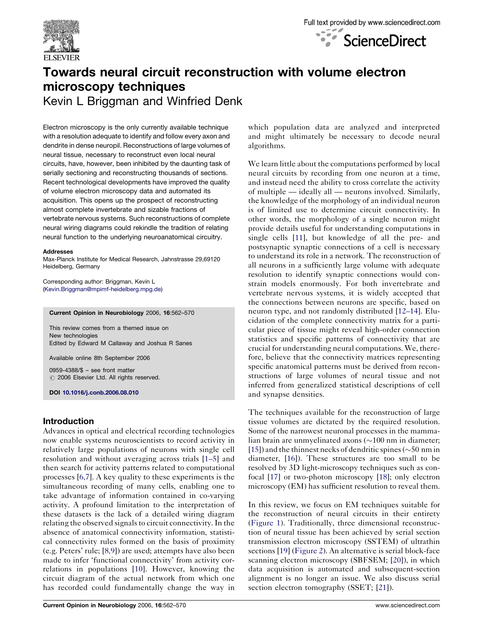



# Towards neural circuit reconstruction with volume electron microscopy techniques

Kevin L Briggman and Winfried Denk

Electron microscopy is the only currently available technique with a resolution adequate to identify and follow every axon and dendrite in dense neuropil. Reconstructions of large volumes of neural tissue, necessary to reconstruct even local neural circuits, have, however, been inhibited by the daunting task of serially sectioning and reconstructing thousands of sections. Recent technological developments have improved the quality of volume electron microscopy data and automated its acquisition. This opens up the prospect of reconstructing almost complete invertebrate and sizable fractions of vertebrate nervous systems. Such reconstructions of complete neural wiring diagrams could rekindle the tradition of relating neural function to the underlying neuroanatomical circuitry.

#### **Addresses**

Max-Planck Institute for Medical Research, Jahnstrasse 29,69120 Heidelberg, Germany

Corresponding author: Briggman, Kevin L ([Kevin.Briggman@mpimf-heidelberg.mpg.de\)](mailto:Kevin.Briggman@mpimf-heidelberg.mpg.de)

Current Opinion in Neurobiology 2006, 16:562–570

This review comes from a themed issue on New technologies Edited by Edward M Callaway and Joshua R Sanes

Available online 8th September 2006

0959-4388/\$ – see front matter  $\oslash$  2006 Elsevier Ltd. All rights reserved.

DOI [10.1016/j.conb.2006.08.010](http://dx.doi.org/10.1016/j.conb.2006.08.010)

# Introduction

Advances in optical and electrical recording technologies now enable systems neuroscientists to record activity in relatively large populations of neurons with single cell resolution and without averaging across trials [\[1–5](#page-6-0)] and then search for activity patterns related to computational processes [[6,7](#page-6-0)]. A key quality to these experiments is the simultaneous recording of many cells, enabling one to take advantage of information contained in co-varying activity. A profound limitation to the interpretation of these datasets is the lack of a detailed wiring diagram relating the observed signals to circuit connectivity. In the absence of anatomical connectivity information, statistical connectivity rules formed on the basis of proximity (e.g. Peters' rule; [\[8,9\]](#page-6-0)) are used; attempts have also been made to infer 'functional connectivity' from activity correlations in populations [[10\]](#page-6-0). However, knowing the circuit diagram of the actual network from which one has recorded could fundamentally change the way in which population data are analyzed and interpreted and might ultimately be necessary to decode neural algorithms.

We learn little about the computations performed by local neural circuits by recording from one neuron at a time, and instead need the ability to cross correlate the activity of multiple — ideally all — neurons involved. Similarly, the knowledge of the morphology of an individual neuron is of limited use to determine circuit connectivity. In other words, the morphology of a single neuron might provide details useful for understanding computations in single cells [[11\]](#page-6-0), but knowledge of all the pre- and postsynaptic synaptic connections of a cell is necessary to understand its role in a network. The reconstruction of all neurons in a sufficiently large volume with adequate resolution to identify synaptic connections would constrain models enormously. For both invertebrate and vertebrate nervous systems, it is widely accepted that the connections between neurons are specific, based on neuron type, and not randomly distributed [[12–14\]](#page-6-0). Elucidation of the complete connectivity matrix for a particular piece of tissue might reveal high-order connection statistics and specific patterns of connectivity that are crucial for understanding neural computations. We, therefore, believe that the connectivity matrices representing specific anatomical patterns must be derived from reconstructions of large volumes of neural tissue and not inferred from generalized statistical descriptions of cell and synapse densities.

The techniques available for the reconstruction of large tissue volumes are dictated by the required resolution. Some of the narrowest neuronal processes in the mammalian brain are unmyelinated axons  $(\sim 100$  nm in diameter; [\[15](#page-6-0)]) and the thinnest necks of dendritic spines ( $\sim$ 50 nm in diameter, [[16\]](#page-6-0)). These structures are too small to be resolved by 3D light-microscopy techniques such as confocal [\[17](#page-6-0)] or two-photon microscopy [\[18](#page-6-0)]; only electron microscopy (EM) has sufficient resolution to reveal them.

In this review, we focus on EM techniques suitable for the reconstruction of neural circuits in their entirety [\(Figure 1](#page-1-0)). Traditionally, three dimensional reconstruction of neural tissue has been achieved by serial section transmission electron microscopy (SSTEM) of ultrathin sections [\[19](#page-6-0)] [\(Figure 2\)](#page-2-0). An alternative is serial block-face scanning electron microscopy (SBFSEM; [\[20](#page-6-0)]), in which data acquisition is automated and subsequent-section alignment is no longer an issue. We also discuss serial section electron tomography (SSET; [\[21](#page-6-0)]).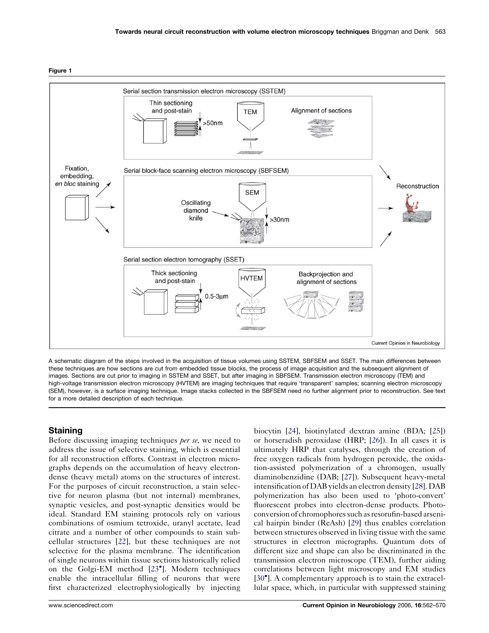

<span id="page-1-0"></span>Figure 1

A schematic diagram of the steps involved in the acquisition of tissue volumes using SSTEM, SBFSEM and SSET. The main differences between these techniques are how sections are cut from embedded tissue blocks, the process of image acquisition and the subsequent alignment of images. Sections are cut prior to imaging in SSTEM and SSET, but after imaging in SBFSEM. Transmission electron microscopy (TEM) and high-voltage transmission electron microscopy (HVTEM) are imaging techniques that require 'transparent' samples; scanning electron microscopy (SEM), however, is a surface imaging technique. Image stacks collected in the SBFSEM need no further alignment prior to reconstruction. See text for a more detailed description of each technique.

# **Staining**

Before discussing imaging techniques *per se*, we need to address the issue of selective staining, which is essential for all reconstruction efforts. Contrast in electron micrographs depends on the accumulation of heavy electrondense (heavy metal) atoms on the structures of interest. For the purposes of circuit reconstruction, a stain selective for neuron plasma (but not internal) membranes, synaptic vesicles, and post-synaptic densities would be ideal. Standard EM staining protocols rely on various combinations of osmium tetroxide, uranyl acetate, lead citrate and a number of other compounds to stain subcellular structures [[22\]](#page-6-0), but these techniques are not selective for the plasma membrane. The identification of single neurons within tissue sections historically relied on the Golgi-EM method [\[23](#page-6-0)<sup>°</sup>]. Modern techniques enable the intracellular filling of neurons that were first characterized electrophysiologically by injecting

biocytin [[24\]](#page-6-0), biotinylated dextran amine (BDA; [[25\]](#page-6-0)) or horseradish peroxidase (HRP; [\[26\]](#page-6-0)). In all cases it is ultimately HRP that catalyses, through the creation of free oxygen radicals from hydrogen peroxide, the oxidation-assisted polymerization of a chromogen, usually diaminobenzidine (DAB; [\[27](#page-6-0)]). Subsequent heavy-metal intensification of DAB yields an electron density [[28\]](#page-6-0). DAB polymerization has also been used to 'photo-convert' fluorescent probes into electron-dense products. Photoconversion of chromophores such as resorufin-based arsenical hairpin binder (ReAsh) [[29\]](#page-6-0) thus enables correlation between structures observed in living tissue with the same structures in electron micrographs. Quantum dots of different size and shape can also be discriminated in the transmission electron microscope (TEM), further aiding correlations between light microscopy and EM studies [\[30](#page-6-0)<sup>°</sup>]. A complementary approach is to stain the extracellular space, which, in particular with suppressed staining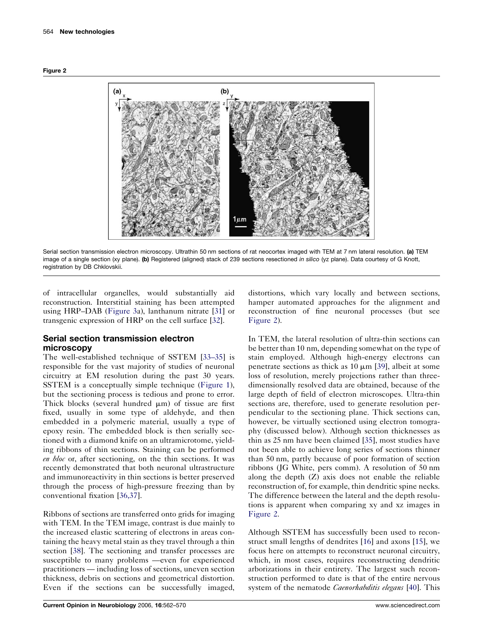<span id="page-2-0"></span>



Serial section transmission electron microscopy. Ultrathin 50 nm sections of rat neocortex imaged with TEM at 7 nm lateral resolution. (a) TEM image of a single section (xy plane). (b) Registered (aligned) stack of 239 sections resectioned in silico (yz plane). Data courtesy of G Knott, registration by DB Chklovskii.

of intracellular organelles, would substantially aid reconstruction. Interstitial staining has been attempted using HRP–DAB [\(Figure 3a](#page-3-0)), lanthanum nitrate [[31\]](#page-6-0) or transgenic expression of HRP on the cell surface [[32\]](#page-7-0).

# Serial section transmission electron microscopy

The well-established technique of SSTEM [\[33–35](#page-7-0)] is responsible for the vast majority of studies of neuronal circuitry at EM resolution during the past 30 years. SSTEM is a conceptually simple technique [\(Figure 1](#page-1-0)), but the sectioning process is tedious and prone to error. Thick blocks (several hundred  $\mu$ m) of tissue are first fixed, usually in some type of aldehyde, and then embedded in a polymeric material, usually a type of epoxy resin. The embedded block is then serially sectioned with a diamond knife on an ultramicrotome, yielding ribbons of thin sections. Staining can be performed en bloc or, after sectioning, on the thin sections. It was recently demonstrated that both neuronal ultrastructure and immunoreactivity in thin sections is better preserved through the process of high-pressure freezing than by conventional fixation [[36,37](#page-7-0)].

Ribbons of sections are transferred onto grids for imaging with TEM. In the TEM image, contrast is due mainly to the increased elastic scattering of electrons in areas containing the heavy metal stain as they travel through a thin section [\[38](#page-7-0)]. The sectioning and transfer processes are susceptible to many problems —even for experienced practitioners — including loss of sections, uneven section thickness, debris on sections and geometrical distortion. Even if the sections can be successfully imaged,

distortions, which vary locally and between sections, hamper automated approaches for the alignment and reconstruction of fine neuronal processes (but see Figure 2).

In TEM, the lateral resolution of ultra-thin sections can be better than 10 nm, depending somewhat on the type of stain employed. Although high-energy electrons can penetrate sections as thick as  $10 \mu m$  [[39\]](#page-7-0), albeit at some loss of resolution, merely projections rather than threedimensionally resolved data are obtained, because of the large depth of field of electron microscopes. Ultra-thin sections are, therefore, used to generate resolution perpendicular to the sectioning plane. Thick sections can, however, be virtually sectioned using electron tomography (discussed below). Although section thicknesses as thin as 25 nm have been claimed [\[35\]](#page-7-0), most studies have not been able to achieve long series of sections thinner than 50 nm, partly because of poor formation of section ribbons (JG White, pers comm). A resolution of 50 nm along the depth  $(Z)$  axis does not enable the reliable reconstruction of, for example, thin dendritic spine necks. The difference between the lateral and the depth resolutions is apparent when comparing xy and xz images in Figure 2.

Although SSTEM has successfully been used to reconstruct small lengths of dendrites [\[16](#page-6-0)] and axons [\[15](#page-6-0)], we focus here on attempts to reconstruct neuronal circuitry, which, in most cases, requires reconstructing dendritic arborizations in their entirety. The largest such reconstruction performed to date is that of the entire nervous system of the nematode *Caenorhabditis elegans* [\[40](#page-7-0)]. This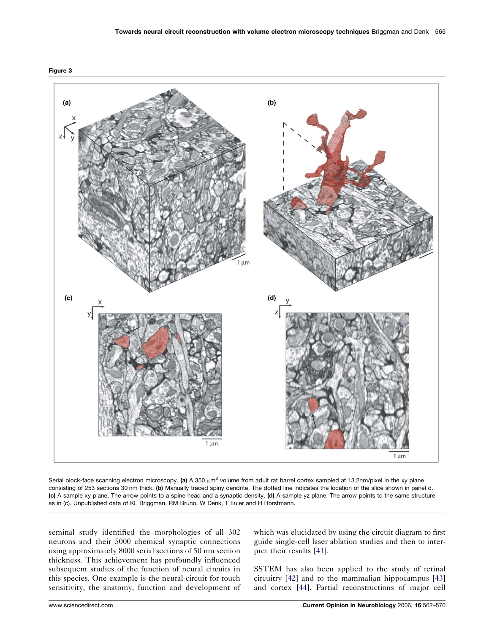<span id="page-3-0"></span>



Serial block-face scanning electron microscopy. (a) A 350  $\mu$ m<sup>3</sup> volume from adult rat barrel cortex sampled at 13.2nm/pixel in the xy plane consisting of 253 sections 30 nm thick. (b) Manually traced spiny dendrite. The dotted line indicates the location of the slice shown in panel d. (c) A sample xy plane. The arrow points to a spine head and a synaptic density. (d) A sample yz plane. The arrow points to the same structure as in (c). Unpublished data of KL Briggman, RM Bruno, W Denk, T Euler and H Horstmann.

seminal study identified the morphologies of all 302 neurons and their 5000 chemical synaptic connections using approximately 8000 serial sections of 50 nm section thickness. This achievement has profoundly influenced subsequent studies of the function of neural circuits in this species. One example is the neural circuit for touch sensitivity, the anatomy, function and development of which was elucidated by using the circuit diagram to first guide single-cell laser ablation studies and then to interpret their results [\[41](#page-7-0)].

SSTEM has also been applied to the study of retinal circuitry [[42\]](#page-7-0) and to the mammalian hippocampus [\[43](#page-7-0)] and cortex [[44\]](#page-7-0). Partial reconstructions of major cell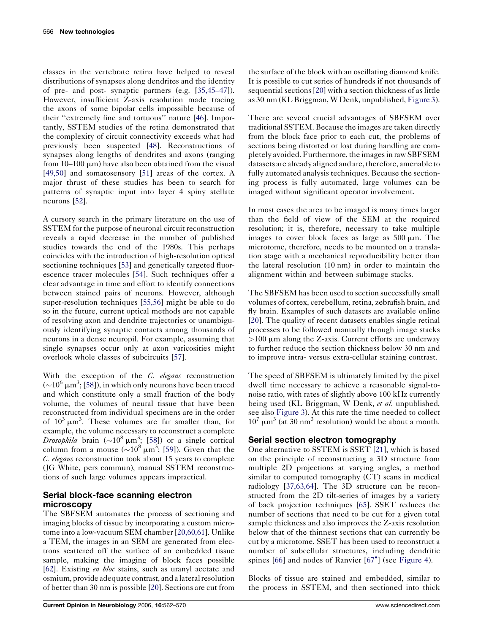classes in the vertebrate retina have helped to reveal distributions of synapses along dendrites and the identity of pre- and post- synaptic partners (e.g. [[35,45–47\]](#page-7-0)). However, insufficient Z-axis resolution made tracing the axons of some bipolar cells impossible because of their ''extremely fine and tortuous'' nature [\[46](#page-7-0)]. Importantly, SSTEM studies of the retina demonstrated that the complexity of circuit connectivity exceeds what had previously been suspected [[48\]](#page-7-0). Reconstructions of synapses along lengths of dendrites and axons (ranging from 10–100  $\mu$ m) have also been obtained from the visual [\[49,50\]](#page-7-0) and somatosensory [[51\]](#page-7-0) areas of the cortex. A major thrust of these studies has been to search for patterns of synaptic input into layer 4 spiny stellate neurons [\[52](#page-7-0)].

A cursory search in the primary literature on the use of SSTEM for the purpose of neuronal circuit reconstruction reveals a rapid decrease in the number of published studies towards the end of the 1980s. This perhaps coincides with the introduction of high-resolution optical sectioning techniques [[53\]](#page-7-0) and genetically targeted fluorescence tracer molecules [[54\]](#page-7-0). Such techniques offer a clear advantage in time and effort to identify connections between stained pairs of neurons. However, although super-resolution techniques [\[55,56\]](#page-7-0) might be able to do so in the future, current optical methods are not capable of resolving axon and dendrite trajectories or unambiguously identifying synaptic contacts among thousands of neurons in a dense neuropil. For example, assuming that single synapses occur only at axon varicosities might overlook whole classes of subcircuits [[57\]](#page-7-0).

With the exception of the  $C$ . elegans reconstruction  $(\sim]10^6 \text{ }\mu\text{m}^3$ ; [[58\]](#page-7-0)), in which only neurons have been traced and which constitute only a small fraction of the body volume, the volumes of neural tissue that have been reconstructed from individual specimens are in the order of  $10^3 \mu m^3$ . These volumes are far smaller than, for example, the volume necessary to reconstruct a complete *Drosophila* brain  $({\sim}10^8 \mu m^3;$  [\[58](#page-7-0)]) or a single cortical column from a mouse  $(\sim 10^8 \,\mathrm{\upmu m}^3)$ ; [\[59](#page-7-0)]). Given that the C. elegans reconstruction took about 15 years to complete (JG White, pers commun), manual SSTEM reconstructions of such large volumes appears impractical.

# Serial block-face scanning electron microscopy

The SBFSEM automates the process of sectioning and imaging blocks of tissue by incorporating a custom microtome into a low-vacuum SEM chamber [\[20,60,61\]](#page-6-0). Unlike a TEM, the images in an SEM are generated from electrons scattered off the surface of an embedded tissue sample, making the imaging of block faces possible [\[62](#page-7-0)]. Existing *en bloc* stains, such as uranyl acetate and osmium, provide adequate contrast, and a lateral resolution of better than 30 nm is possible [[20\]](#page-6-0). Sections are cut from

the surface of the block with an oscillating diamond knife. It is possible to cut series of hundreds if not thousands of sequential sections [\[20](#page-6-0)] with a section thickness of as little as 30 nm (KL Briggman, W Denk, unpublished, [Figure 3\)](#page-3-0).

There are several crucial advantages of SBFSEM over traditional SSTEM. Because the images are taken directly from the block face prior to each cut, the problems of sections being distorted or lost during handling are completely avoided. Furthermore, the images in raw SBFSEM datasets are already aligned and are, therefore, amenable to fully automated analysis techniques. Because the sectioning process is fully automated, large volumes can be imaged without significant operator involvement.

In most cases the area to be imaged is many times larger than the field of view of the SEM at the required resolution; it is, therefore, necessary to take multiple images to cover block faces as large as  $500 \mu m$ . The microtome, therefore, needs to be mounted on a translation stage with a mechanical reproducibility better than the lateral resolution (10 nm) in order to maintain the alignment within and between subimage stacks.

The SBFSEM has been used to section successfully small volumes of cortex, cerebellum, retina, zebrafish brain, and fly brain. Examples of such datasets are available online [\[20](#page-6-0)]. The quality of recent datasets enables single retinal processes to be followed manually through image stacks  $>100$  µm along the Z-axis. Current efforts are underway to further reduce the section thickness below 30 nm and to improve intra- versus extra-cellular staining contrast.

The speed of SBFSEM is ultimately limited by the pixel dwell time necessary to achieve a reasonable signal-tonoise ratio, with rates of slightly above 100 kHz currently being used (KL Briggman, W Denk, et al. unpublished, see also [Figure 3](#page-3-0)). At this rate the time needed to collect  $10^7 \mu m^3$  (at 30 nm<sup>3</sup> resolution) would be about a month.

# Serial section electron tomography

One alternative to SSTEM is SSET [[21\]](#page-6-0), which is based on the principle of reconstructing a 3D structure from multiple 2D projections at varying angles, a method similar to computed tomography (CT) scans in medical radiology [[37,63,64](#page-7-0)]. The 3D structure can be reconstructed from the 2D tilt-series of images by a variety of back projection techniques [[65\]](#page-7-0). SSET reduces the number of sections that need to be cut for a given total sample thickness and also improves the Z-axis resolution below that of the thinnest sections that can currently be cut by a microtome. SSET has been used to reconstruct a number of subcellular structures, including dendritic spines [\[66](#page-7-0)] and nodes of Ranvier [\[67](#page-7-0)<sup>°</sup>] (see [Figure 4\)](#page-5-0).

Blocks of tissue are stained and embedded, similar to the process in SSTEM, and then sectioned into thick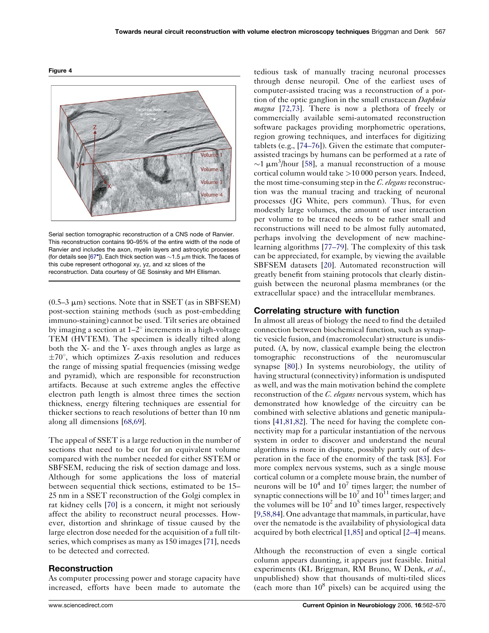<span id="page-5-0"></span>



Serial section tomographic reconstruction of a CNS node of Ranvier. This reconstruction contains 90–95% of the entire width of the node of Ranvier and includes the axon, myelin layers and astrocytic processes (for details see [[67](#page-7-0)<sup>\*</sup>]). Each thick section was  $\sim$ 1.5  $\mu$ m thick. The faces of this cube represent orthogonal xy, yz, and xz slices of the reconstruction. Data courtesy of GE Sosinsky and MH Ellisman.

 $(0.5-3 \mu m)$  sections. Note that in SSET (as in SBFSEM) post-section staining methods (such as post-embedding immuno-staining) cannot be used. Tilt series are obtained by imaging a section at  $1-2^\circ$  increments in a high-voltage TEM (HVTEM). The specimen is ideally tilted along both the X- and the Y- axes through angles as large as  $\pm 70^{\circ}$ , which optimizes Z-axis resolution and reduces the range of missing spatial frequencies (missing wedge and pyramid), which are responsible for reconstruction artifacts. Because at such extreme angles the effective electron path length is almost three times the section thickness, energy filtering techniques are essential for thicker sections to reach resolutions of better than 10 nm along all dimensions [\[68,69\]](#page-7-0).

The appeal of SSET is a large reduction in the number of sections that need to be cut for an equivalent volume compared with the number needed for either SSTEM or SBFSEM, reducing the risk of section damage and loss. Although for some applications the loss of material between sequential thick sections, estimated to be 15– 25 nm in a SSET reconstruction of the Golgi complex in rat kidney cells [\[70](#page-7-0)] is a concern, it might not seriously affect the ability to reconstruct neural processes. However, distortion and shrinkage of tissue caused by the large electron dose needed for the acquisition of a full tiltseries, which comprises as many as 150 images [[71](#page-8-0)], needs to be detected and corrected.

### Reconstruction

As computer processing power and storage capacity have increased, efforts have been made to automate the tedious task of manually tracing neuronal processes through dense neuropil. One of the earliest uses of computer-assisted tracing was a reconstruction of a portion of the optic ganglion in the small crustacean Daphnia magna [\[72,73\]](#page-8-0). There is now a plethora of freely or commercially available semi-automated reconstruction software packages providing morphometric operations, region growing techniques, and interfaces for digitizing tablets (e.g., [[74–76](#page-8-0)]). Given the estimate that computerassisted tracings by humans can be performed at a rate of  $\sim$ 1  $\mu$ m<sup>3</sup>/hour [[58\]](#page-7-0), a manual reconstruction of a mouse cortical column would take >10 000 person years. Indeed, the most time-consuming step in the C. elegans reconstruction was the manual tracing and tracking of neuronal processes (JG White, pers commun). Thus, for even modestly large volumes, the amount of user interaction per volume to be traced needs to be rather small and reconstructions will need to be almost fully automated, perhaps involving the development of new machinelearning algorithms [\[77–79](#page-8-0)]. The complexity of this task can be appreciated, for example, by viewing the available SBFSEM datasets [[20\]](#page-6-0). Automated reconstruction will greatly benefit from staining protocols that clearly distinguish between the neuronal plasma membranes (or the extracellular space) and the intracellular membranes.

### Correlating structure with function

In almost all areas of biology the need to find the detailed connection between biochemical function, such as synaptic vesicle fusion, and (macromolecular) structure is undisputed. (A, by now, classical example being the electron tomographic reconstructions of the neuromuscular synapse [[80\]](#page-8-0).) In systems neurobiology, the utility of having structural (connectivity) information is undisputed as well, and was the main motivation behind the complete reconstruction of the *C. elegans* nervous system, which has demonstrated how knowledge of the circuitry can be combined with selective ablations and genetic manipulations [\[41,81,82\]](#page-7-0). The need for having the complete connectivity map for a particular instantiation of the nervous system in order to discover and understand the neural algorithms is more in dispute, possibly partly out of desperation in the face of the enormity of the task [[83\]](#page-8-0). For more complex nervous systems, such as a single mouse cortical column or a complete mouse brain, the number of neurons will be  $10^4$  and  $10^7$  times larger; the number of synaptic connections will be  $10^7$  and  $10^{11}$  times larger; and the volumes will be  $10^2$  and  $10^5$  times larger, respectively [[9,58,84](#page-6-0)]. One advantage that mammals, in particular, have over the nematode is the availability of physiological data acquired by both electrical [\[1,85\]](#page-6-0) and optical [[2–4](#page-6-0)] means.

Although the reconstruction of even a single cortical column appears daunting, it appears just feasible. Initial experiments (KL Briggman, RM Bruno, W Denk, et al., unpublished) show that thousands of multi-tiled slices (each more than  $10^8$  pixels) can be acquired using the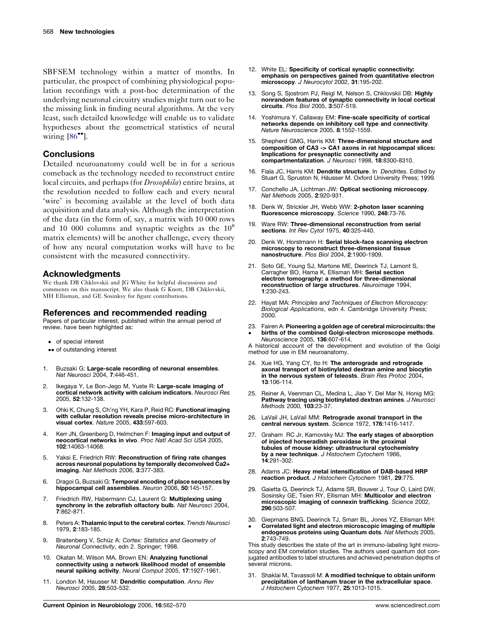<span id="page-6-0"></span>SBFSEM technology within a matter of months. In particular, the prospect of combining physiological population recordings with a post-hoc determination of the underlying neuronal circuitry studies might turn out to be the missing link in finding neural algorithms. At the very least, such detailed knowledge will enable us to validate hypotheses about the geometrical statistics of neural wiring  $[86$ <sup>\*</sup>].

### **Conclusions**

Detailed neuroanatomy could well be in for a serious comeback as the technology needed to reconstruct entire local circuits, and perhaps (for *Drosophila*) entire brains, at the resolution needed to follow each and every neural 'wire' is becoming available at the level of both data acquisition and data analysis. Although the interpretation of the data (in the form of, say, a matrix with 10 000 rows and 10 000 columns and synaptic weights as the  $10^8$ matrix elements) will be another challenge, every theory of how any neural computation works will have to be consistent with the measured connectivity.

### Acknowledgments

We thank DB Chklovskii and JG White for helpful discussions and comments on this manuscript. We also thank G Knott, DB Chklovskii, MH Ellisman, and GE Sosinksy for figure contributions.

### References and recommended reading

Papers of particular interest, published within the annual period of review, have been highlighted as:

- of special interest
- •• of outstanding interest
- 1. Buzsaki G: Large-scale recording of neuronal ensembles. Nat Neurosci 2004, 7:446-451.
- 2. Ikegaya Y, Le Bon-Jego M, Yuste R: Large-scale imaging of cortical network activity with calcium indicators. Neurosci Res 2005, 52:132-138.
- 3. Ohki K, Chung S, Ch'ng YH, Kara P, Reid RC: Functional imaging with cellular resolution reveals precise micro-architecture in visual cortex. Nature 2005, 433:597-603.
- Kerr JN, Greenberg D, Helmchen F: Imaging input and output of neocortical networks in vivo. Proc Natl Acad Sci USA 2005, 102:14063-14068.
- 5. Yaksi E, Friedrich RW: Reconstruction of firing rate changes across neuronal populations by temporally deconvolved Ca2+ imaging. Nat Methods 2006, 3:377-383.
- 6. Dragoi G, Buzsaki G: Temporal encoding of place sequences by hippocampal cell assemblies. Neuron 2006, 50:145-157.
- 7. Friedrich RW, Habermann CJ, Laurent G: Multiplexing using synchrony in the zebrafish olfactory bulb. Nat Neurosci 2004, 7:862-871.
- 8. Peters A: Thalamic input to the cerebral cortex. Trends Neurosci 1979, 2:183-185.
- 9. Braitenberg V, Schüz A: Cortex: Statistics and Geometry of Neuronal Connectivity, edn 2. Springer; 1998.
- 10. Okatan M, Wilson MA, Brown EN: Analyzing functional connectivity using a network likelihood model of ensemble neural spiking activity. Neural Comput 2005, 17:1927-1961.
- 11. London M, Hausser M: Dendritic computation. Annu Rev Neurosci 2005, 28:503-532.
- 12. White EL: Specificity of cortical synaptic connectivity: emphasis on perspectives gained from quantitative electron microscopy. J Neurocytol 2002, 31:195-202.
- 13. Song S, Sjostrom PJ, Reigl M, Nelson S, Chklovskii DB: Highly nonrandom features of synaptic connectivity in local cortical circuits. Plos Biol 2005, 3:507-519.
- 14. Yoshimura Y, Callaway EM: Fine-scale specificity of cortical networks depends on inhibitory cell type and connectivity. Nature Neuroscience 2005, 8:1552-1559.
- 15. Shepherd GMG, Harris KM: Three-dimensional structure and composition of CA3 -> CA1 axons in rat hippocampal slices: Implications for presynaptic connectivity and compartmentalization. J Neurosci 1998, 18:8300-8310.
- 16. Fiala JC, Harris KM: Dendrite structure. In Dendrites. Edited by Stuart G, Spruston N, Häusser M, Oxford University Press: 1999.
- 17. Conchello JA, Lichtman JW: Optical sectioning microscopy. Nat Methods 2005, 2:920-931.
- 18. Denk W, Strickler JH, Webb WW: 2-photon laser scanning fluorescence microscopy. Science 1990, 248:73-76.
- 19. Ware RW: Three-dimensional reconstruction from serial sections. Int Rev Cytol 1975, 40:325-440.
- 20. Denk W, Horstmann H: Serial block-face scanning electron microscopy to reconstruct three-dimensional tissue nanostructure. Plos Biol 2004, 2:1900-1909.
- 21. Soto GE, Young SJ, Martone ME, Deerinck TJ, Lamont S, Carragher BO, Hama K, Ellisman MH: Serial section electron tomography: a method for three-dimensional reconstruction of large structures. Neuroimage 1994, 1:230-243.
- 22. Hayat MA: Principles and Techniques of Electron Microscopy: Biological Applications, edn 4. Cambridge University Press; 2000.
- 23. Fairen A: Pioneering a golden age of cerebral microcircuits: the births of the combined Golgi-electron microscope methods.

Neuroscience 2005, 136:607-614. A historical account of the development and evolution of the Golgi method for use in EM neuroanatomy.

- 24. Xue HG, Yang CY, Ito H: The anterograde and retrograde axonal transport of biotinylated dextran amine and biocytin in the nervous system of teleosts. Brain Res Protoc 2004, 13:106-114.
- 25. Reiner A, Veenman CL, Medina L, Jiao Y, Del Mar N, Honig MG: Pathway tracing using biotinylated dextran amines. J Neurosci Methods 2000, 103:23-37.
- 26. LaVail JH, LaVail MM: Retrograde axonal transport in the central nervous system. Science 1972, 176:1416-1417.
- 27. Graham RC Jr, Karnovsky MJ: The early stages of absorption of injected horseradish peroxidase in the proximal tubules of mouse kidney: ultrastructural cytochemistry by a new technique. J Histochem Cytochem 1966, 14:291-302.
- 28. Adams JC: Heavy metal intensification of DAB-based HRP reaction product. J Histochem Cytochem 1981, 29:775.
- 29. Gaietta G, Deerinck TJ, Adams SR, Bouwer J, Tour O, Laird DW, Sosinsky GE, Tsien RY, Ellisman MH: Multicolor and electron microscopic imaging of connexin trafficking. Science 2002, 296:503-507.
- 30. Giepmans BNG, Deerinck TJ, Smarr BL, Jones YZ, Ellisman MH: -Correlated light and electron microscopic imaging of multiple endogenous proteins using Quantum dots. Nat Methods 2005, 2:743-749.

This study describes the state of the art in immuno-labeling light microscopy and EM correlation studies. The authors used quantum dot conjugated antibodies to label structures and achieved penetration depths of several microns.

31. Shaklai M, Tavassoli M: A modified technique to obtain uniform precipitation of lanthanum tracer in the extracellular space. J Histochem Cytochem 1977, 25:1013-1015.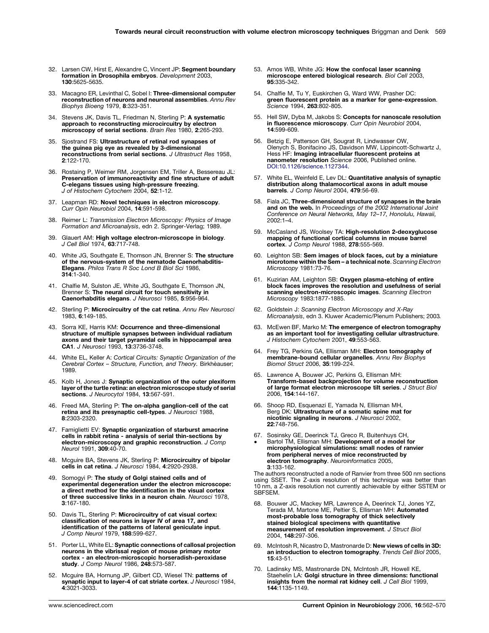- <span id="page-7-0"></span>32. Larsen CW, Hirst E, Alexandre C, Vincent JP: Segment boundary formation in Drosophila embryos. Development 2003, 130:5625-5635.
- 33. Macagno ER, Levinthal C, Sobel I: Three-dimensional computer reconstruction of neurons and neuronal assemblies. Annu Rev Biophys Bioeng 1979, 8:323-351.
- 34. Stevens JK, Davis TL, Friedman N, Sterling P: A systematic approach to reconstructing microcircuitry by electron microscopy of serial sections. Brain Res 1980, 2:265-293.
- 35. Siostrand FS: Ultrastructure of retinal rod synapses of the guinea pig eye as revealed by 3-dimensional reconstructions from serial sections. J Ultrastruct Res 1958, 2:122-170.
- 36. Rostaing P, Weimer RM, Jorgensen EM, Triller A, Bessereau JL: Preservation of immunoreactivity and fine structure of adult C-elegans tissues using high-pressure freezing. J of Histochem Cytochem 2004, 52:1-12.
- 37. Leapman RD: Novel techniques in electron microscopy. Curr Opin Neurobiol 2004, 14:591-598.
- 38. Reimer L: Transmission Electron Microscopy: Physics of Image Formation and Microanalysis, edn 2. Springer-Verlag; 1989.
- 39. Glauert AM: High voltage electron-microscope in biology. J Cell Biol 1974, 63:717-748.
- 40. White JG, Southgate E, Thomson JN, Brenner S: The structure of the nervous-system of the nematode Caenorhabditis-Elegans. Philos Trans R Soc Lond B Biol Sci 1986, 314:1-340.
- 41. Chalfie M, Sulston JE, White JG, Southgate E, Thomson JN, Brenner S: The neural circuit for touch sensitivity in Caenorhabditis elegans. J Neurosci 1985, 5:956-964.
- 42. Sterling P: Microcircuitry of the cat retina. Annu Rev Neurosci 1983, 6:149-185.
- 43. Sorra KE, Harris KM: Occurrence and three-dimensional structure of multiple synapses between individual radiatum axons and their target pyramidal cells in hippocampal area CA1. J Neurosci 1993, 13:3736-3748.
- 44. White EL, Keller A: Cortical Circuits: Synaptic Organization of the Cerebral Cortex - Structure, Function, and Theory. Birkhèauser; 1989.
- 45. Kolb H, Jones J: Synaptic organization of the outer plexiform layer of the turtle retina: an electron microscope study of serial sections. J Neurocytol 1984, 13:567-591.
- 46. Freed MA, Sterling P: The on-alpha ganglion-cell of the cat retina and its presynaptic cell-types. J Neurosci 1988, 8:2303-2320.
- 47. Famiglietti EV: Synaptic organization of starburst amacrine cells in rabbit retina - analysis of serial thin-sections by electron-microscopy and graphic reconstruction. J Comp Neurol 1991, 309:40-70.
- 48. Mcguire BA, Stevens JK, Sterling P: Microcircuitry of bipolar cells in cat retina. J Neurosci 1984, 4:2920-2938.
- 49. Somogyi P: The study of Golgi stained cells and of experimental degeneration under the electron microscope: a direct method for the identification in the visual cortex of three successive links in a neuron chain. Neurosci 1978, 3:167-180.
- 50. Davis TL, Sterling P: Microcircuitry of cat visual cortex: classification of neurons in layer IV of area 17, and identification of the patterns of lateral geniculate input. J Comp Neurol 1979, 188:599-627.
- 51. Porter LL, White EL: Synaptic connections of callosal projection neurons in the vibrissal region of mouse primary motor cortex - an electron-microscopic horseradish-peroxidase study. J Comp Neurol 1986, 248:573-587.
- 52. Mcguire BA, Hornung JP, Gilbert CD, Wiesel TN: patterns of synaptic input to layer-4 of cat striate cortex. J Neurosci 1984, 4:3021-3033.
- 53. Amos WB, White JG: How the confocal laser scanning microscope entered biological research. Biol Cell 2003, 95:335-342.
- 54. Chalfie M, Tu Y, Euskirchen G, Ward WW, Prasher DC: green fluorescent protein as a marker for gene-expression. Science 1994, 263:802-805.
- 55. Hell SW, Dyba M, Jakobs S: Concepts for nanoscale resolution in fluorescence microscopy. Curr Opin Neurobiol 2004, 14:599-609.
- 56. Betzig E, Patterson GH, Sougrat R, Lindwasser OW, Olenych S, Bonifacino JS, Davidson MW, Lippincott-Schwartz J, Hess HF: Imaging intracellular fluorescent proteins at nanometer resolution Science 2006, Published online. [DOI:10.1126/science.1127344.](doi:10.1126/science.1127344)
- 57. White EL, Weinfeld E, Lev DL: Quantitative analysis of synaptic distribution along thalamocortical axons in adult mouse barrels. J Comp Neurol 2004, 479:56-69.
- 58. Fiala JC, Three-dimensional structure of synapses in the brain and on the web. In Proceedings of the 2002 International Joint Conference on Neural Networks, May 12–17, Honolulu, Hawaii, 2002:1–4.
- 59. McCasland JS, Woolsey TA: High-resolution 2-deoxyglucose mapping of functional cortical columns in mouse barrel cortex. J Comp Neurol 1988, 278:555-569.
- 60. Leighton SB: Sem images of block faces, cut by a miniature microtome within the Sem – a technical note. Scanning Electron Microscopy 1981:73-76.
- 61. Kuzirian AM, Leighton SB: Oxygen plasma-etching of entire block faces improves the resolution and usefulness of serial scanning electron-microscopic images. Scanning Electron Microscopy 1983:1877-1885.
- 62. Goldstein J: Scanning Electron Microscopy and X-Ray Microanalysis, edn 3. Kluwer Academic/Plenum Publishers; 2003.
- 63. McEwen BF, Marko M: The emergence of electron tomography as an important tool for investigating cellular ultrastructure. J Histochem Cytochem 2001, 49:553-563.
- 64. Frey TG, Perkins GA, Ellisman MH: Electron tomography of membrane-bound cellular organelles. Annu Rev Biophys Biomol Struct 2006, 35:199-224.
- 65. Lawrence A, Bouwer JC, Perkins G, Ellisman MH: Transform-based backprojection for volume reconstruction of large format electron microscope tilt series. J Struct Biol 2006, 154:144-167.
- 66. Shoop RD, Esquenazi E, Yamada N, Ellisman MH, Berg DK: Ultrastructure of a somatic spine mat for nicotinic signaling in neurons. J Neurosci 2002, 22:748-756.
- 67. Sosinsky GE, Deerinck TJ, Greco R, Buitenhuys CH,
- -Bartol TM, Ellisman MH: Development of a model for microphysiological simulations: small nodes of ranvier from peripheral nerves of mice reconstructed by electron tomography. Neuroinformatics 2005, 3:133-162.

The authors reconstructed a node of Ranvier from three 500 nm sections using SSET. The Z-axis resolution of this technique was better than 10 nm, a Z-axis resolution not currently achievable by either SSTEM or **SBFSEM** 

- 68. Bouwer JC, Mackey MR, Lawrence A, Deerinck TJ, Jones YZ, Terada M, Martone ME, Peltier S, Ellisman MH: Automated most-probable loss tomography of thick selectively stained biological specimens with quantitative measurement of resolution improvement. J Struct Biol 2004, 148:297-306.
- 69. McIntosh R, Nicastro D, Mastronarde D: New views of cells in 3D: an introduction to electron tomography. Trends Cell Biol 2005, 15:43-51.
- 70. Ladinsky MS, Mastronarde DN, McIntosh JR, Howell KE, Staehelin LA: Golgi structure in three dimensions: functional insights from the normal rat kidney cell. J Cell Biol 1999, 144:1135-1149.